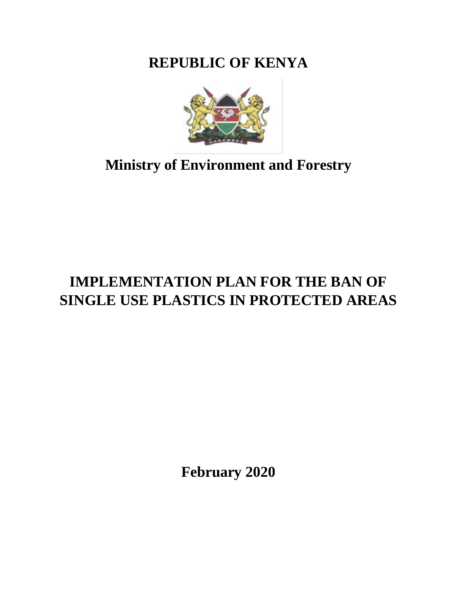**REPUBLIC OF KENYA**



**Ministry of Environment and Forestry**

# **IMPLEMENTATION PLAN FOR THE BAN OF SINGLE USE PLASTICS IN PROTECTED AREAS**

**February 2020**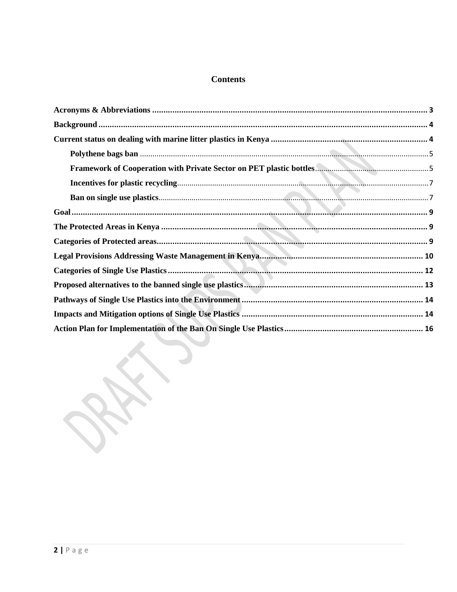# **Contents**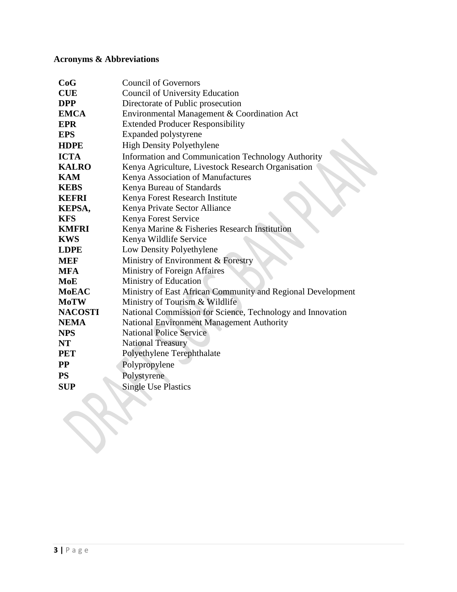# <span id="page-2-0"></span>**Acronyms & Abbreviations**

| CoG            | <b>Council of Governors</b>                                 |
|----------------|-------------------------------------------------------------|
| <b>CUE</b>     | <b>Council of University Education</b>                      |
| <b>DPP</b>     | Directorate of Public prosecution                           |
| <b>EMCA</b>    | Environmental Management & Coordination Act                 |
| <b>EPR</b>     | <b>Extended Producer Responsibility</b>                     |
| <b>EPS</b>     | Expanded polystyrene                                        |
| <b>HDPE</b>    | <b>High Density Polyethylene</b>                            |
| <b>ICTA</b>    | Information and Communication Technology Authority          |
| <b>KALRO</b>   | Kenya Agriculture, Livestock Research Organisation          |
| <b>KAM</b>     | Kenya Association of Manufactures                           |
| <b>KEBS</b>    | Kenya Bureau of Standards                                   |
| <b>KEFRI</b>   | Kenya Forest Research Institute                             |
| KEPSA,         | Kenya Private Sector Alliance                               |
| <b>KFS</b>     | Kenya Forest Service                                        |
| <b>KMFRI</b>   | Kenya Marine & Fisheries Research Institution               |
| <b>KWS</b>     | Kenya Wildlife Service                                      |
| <b>LDPE</b>    | Low Density Polyethylene                                    |
| <b>MEF</b>     | Ministry of Environment & Forestry                          |
| <b>MFA</b>     | Ministry of Foreign Affaires                                |
| <b>MoE</b>     | Ministry of Education                                       |
| <b>MoEAC</b>   | Ministry of East African Community and Regional Development |
| <b>MoTW</b>    | Ministry of Tourism & Wildlife                              |
| <b>NACOSTI</b> | National Commission for Science, Technology and Innovation  |
| <b>NEMA</b>    | National Environment Management Authority                   |
| <b>NPS</b>     | <b>National Police Service</b>                              |
| <b>NT</b>      | <b>National Treasury</b>                                    |
| <b>PET</b>     | Polyethylene Terephthalate                                  |
| $\bf PP$       | Polypropylene                                               |
| <b>PS</b>      | Polystyrene                                                 |
| <b>SUP</b>     | <b>Single Use Plastics</b>                                  |
|                |                                                             |
|                |                                                             |
|                |                                                             |
|                |                                                             |
|                |                                                             |
|                |                                                             |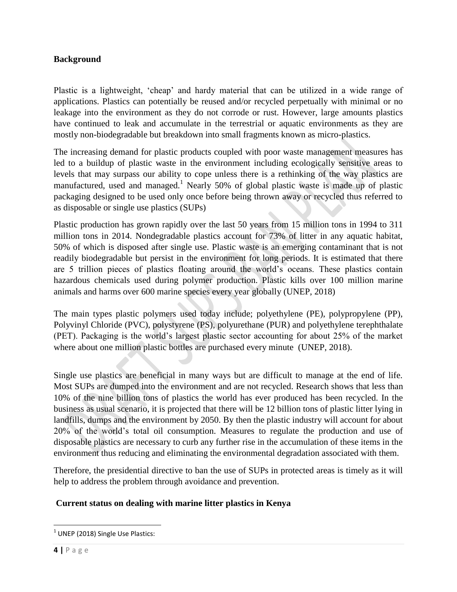#### <span id="page-3-0"></span>**Background**

Plastic is a lightweight, 'cheap' and hardy material that can be utilized in a wide range of applications. Plastics can potentially be reused and/or recycled perpetually with minimal or no leakage into the environment as they do not corrode or rust. However, large amounts plastics have continued to leak and accumulate in the terrestrial or aquatic environments as they are mostly non-biodegradable but breakdown into small fragments known as micro-plastics.

The increasing demand for plastic products coupled with poor waste management measures has led to a buildup of plastic waste in the environment including ecologically sensitive areas to levels that may surpass our ability to cope unless there is a rethinking of the way plastics are manufactured, used and managed.<sup>1</sup> Nearly 50% of global plastic waste is made up of plastic packaging designed to be used only once before being thrown away or recycled thus referred to as disposable or single use plastics (SUPs)

Plastic production has grown rapidly over the last 50 years from 15 million tons in 1994 to 311 million tons in 2014. Nondegradable plastics account for 73% of litter in any aquatic habitat, 50% of which is disposed after single use. Plastic waste is an emerging contaminant that is not readily biodegradable but persist in the environment for long periods. It is estimated that there are 5 trillion pieces of plastics floating around the world's oceans. These plastics contain hazardous chemicals used during polymer production. Plastic kills over 100 million marine animals and harms over 600 marine species every year globally (UNEP, 2018)

The main types plastic polymers used today include; polyethylene (PE), polypropylene (PP), Polyvinyl Chloride (PVC), polystyrene (PS), polyurethane (PUR) and polyethylene terephthalate (PET). Packaging is the world's largest plastic sector accounting for about 25% of the market where about one million plastic bottles are purchased every minute (UNEP, 2018).

Single use plastics are beneficial in many ways but are difficult to manage at the end of life. Most SUPs are dumped into the environment and are not recycled. Research shows that less than 10% of the nine billion tons of plastics the world has ever produced has been recycled. In the business as usual scenario, it is projected that there will be 12 billion tons of plastic litter lying in landfills, dumps and the environment by 2050. By then the plastic industry will account for about 20% of the world's total oil consumption. Measures to regulate the production and use of disposable plastics are necessary to curb any further rise in the accumulation of these items in the environment thus reducing and eliminating the environmental degradation associated with them.

Therefore, the presidential directive to ban the use of SUPs in protected areas is timely as it will help to address the problem through avoidance and prevention.

#### <span id="page-3-1"></span>**Current status on dealing with marine litter plastics in Kenya**

 $\overline{\phantom{a}}$  $<sup>1</sup>$  UNEP (2018) Single Use Plastics:</sup>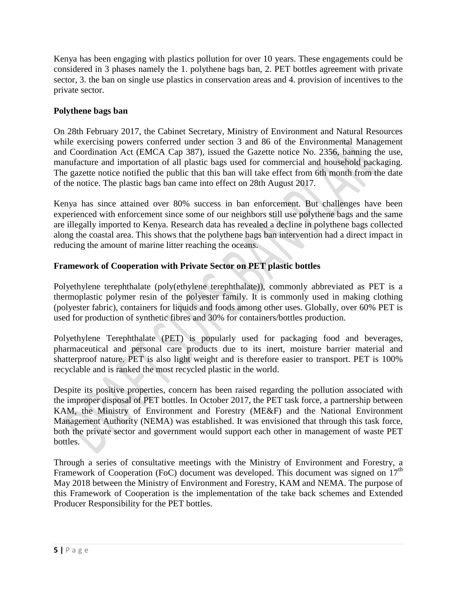Kenya has been engaging with plastics pollution for over 10 years. These engagements could be considered in 3 phases namely the 1. polythene bags ban, 2. PET bottles agreement with private sector, 3. the ban on single use plastics in conservation areas and 4. provision of incentives to the private sector.

# <span id="page-4-0"></span>**Polythene bags ban**

On 28th February 2017, the Cabinet Secretary, Ministry of Environment and Natural Resources while exercising powers conferred under section 3 and 86 of the Environmental Management and Coordination Act (EMCA Cap 387), issued the Gazette notice No. 2356, banning the use, manufacture and importation of all plastic bags used for commercial and household packaging. The gazette notice notified the public that this ban will take effect from 6th month from the date of the notice. The plastic bags ban came into effect on 28th August 2017.

Kenya has since attained over 80% success in ban enforcement. But challenges have been experienced with enforcement since some of our neighbors still use polythene bags and the same are illegally imported to Kenya. Research data has revealed a decline in polythene bags collected along the coastal area. This shows that the polythene bags ban intervention had a direct impact in reducing the amount of marine litter reaching the oceans.

# <span id="page-4-1"></span>**Framework of Cooperation with Private Sector on PET plastic bottles**

Polyethylene terephthalate (poly(ethylene terephthalate)), commonly abbreviated as PET is a thermoplastic polymer resin of the polyester family. It is commonly used in making clothing (polyester fabric), containers for liquids and foods among other uses. Globally, over 60% PET is used for production of synthetic fibres and 30% for containers/bottles production.

Polyethylene Terephthalate (PET) is popularly used for packaging food and beverages, pharmaceutical and personal care products due to its inert, moisture barrier material and shatterproof nature. PET is also light weight and is therefore easier to transport. PET is 100% recyclable and is ranked the most recycled plastic in the world.

Despite its positive properties, concern has been raised regarding the pollution associated with the improper disposal of PET bottles. In October 2017, the PET task force, a partnership between KAM, the Ministry of Environment and Forestry (ME&F) and the National Environment Management Authority (NEMA) was established. It was envisioned that through this task force, both the private sector and government would support each other in management of waste PET bottles.

Through a series of consultative meetings with the Ministry of Environment and Forestry, a Framework of Cooperation (FoC) document was developed. This document was signed on  $17<sup>th</sup>$ May 2018 between the Ministry of Environment and Forestry, KAM and NEMA. The purpose of this Framework of Cooperation is the implementation of the take back schemes and Extended Producer Responsibility for the PET bottles.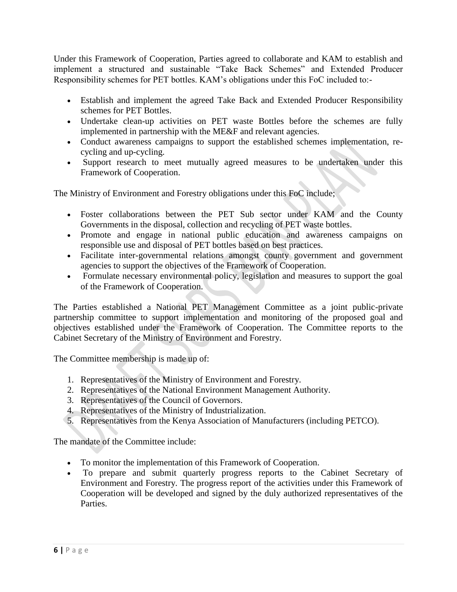Under this Framework of Cooperation, Parties agreed to collaborate and KAM to establish and implement a structured and sustainable "Take Back Schemes" and Extended Producer Responsibility schemes for PET bottles. KAM's obligations under this FoC included to:-

- Establish and implement the agreed Take Back and Extended Producer Responsibility schemes for PET Bottles.
- Undertake clean-up activities on PET waste Bottles before the schemes are fully implemented in partnership with the ME&F and relevant agencies.
- Conduct awareness campaigns to support the established schemes implementation, recycling and up-cycling.
- Support research to meet mutually agreed measures to be undertaken under this Framework of Cooperation.

The Ministry of Environment and Forestry obligations under this FoC include;

- Foster collaborations between the PET Sub sector under KAM and the County Governments in the disposal, collection and recycling of PET waste bottles.
- Promote and engage in national public education and awareness campaigns on responsible use and disposal of PET bottles based on best practices.
- Facilitate inter-governmental relations amongst county government and government agencies to support the objectives of the Framework of Cooperation.
- Formulate necessary environmental policy, legislation and measures to support the goal of the Framework of Cooperation.

The Parties established a National PET Management Committee as a joint public-private partnership committee to support implementation and monitoring of the proposed goal and objectives established under the Framework of Cooperation. The Committee reports to the Cabinet Secretary of the Ministry of Environment and Forestry.

The Committee membership is made up of:

- 1. Representatives of the Ministry of Environment and Forestry.
- 2. Representatives of the National Environment Management Authority.
- 3. Representatives of the Council of Governors.
- 4. Representatives of the Ministry of Industrialization.
- 5. Representatives from the Kenya Association of Manufacturers (including PETCO).

The mandate of the Committee include:

- To monitor the implementation of this Framework of Cooperation.
- To prepare and submit quarterly progress reports to the Cabinet Secretary of Environment and Forestry. The progress report of the activities under this Framework of Cooperation will be developed and signed by the duly authorized representatives of the Parties.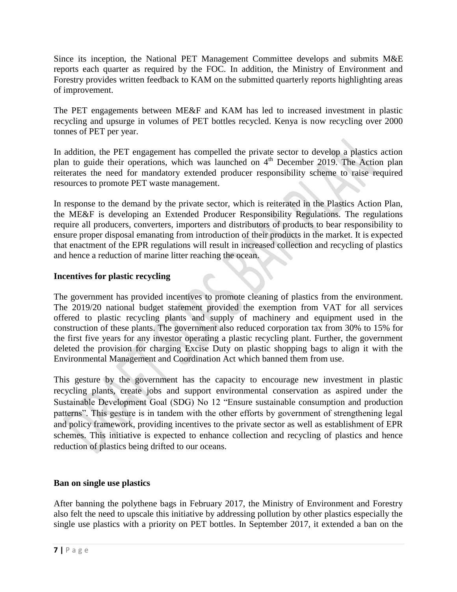Since its inception, the National PET Management Committee develops and submits M&E reports each quarter as required by the FOC. In addition, the Ministry of Environment and Forestry provides written feedback to KAM on the submitted quarterly reports highlighting areas of improvement.

The PET engagements between ME&F and KAM has led to increased investment in plastic recycling and upsurge in volumes of PET bottles recycled. Kenya is now recycling over 2000 tonnes of PET per year.

In addition, the PET engagement has compelled the private sector to develop a plastics action plan to guide their operations, which was launched on  $4<sup>th</sup>$  December 2019. The Action plan reiterates the need for mandatory extended producer responsibility scheme to raise required resources to promote PET waste management.

In response to the demand by the private sector, which is reiterated in the Plastics Action Plan, the ME&F is developing an Extended Producer Responsibility Regulations. The regulations require all producers, converters, importers and distributors of products to bear responsibility to ensure proper disposal emanating from introduction of their products in the market. It is expected that enactment of the EPR regulations will result in increased collection and recycling of plastics and hence a reduction of marine litter reaching the ocean.

#### <span id="page-6-0"></span>**Incentives for plastic recycling**

The government has provided incentives to promote cleaning of plastics from the environment. The 2019/20 national budget statement provided the exemption from VAT for all services offered to plastic recycling plants and supply of machinery and equipment used in the construction of these plants. The government also reduced corporation tax from 30% to 15% for the first five years for any investor operating a plastic recycling plant. Further, the government deleted the provision for charging Excise Duty on plastic shopping bags to align it with the Environmental Management and Coordination Act which banned them from use.

This gesture by the government has the capacity to encourage new investment in plastic recycling plants, create jobs and support environmental conservation as aspired under the Sustainable Development Goal (SDG) No 12 "Ensure sustainable consumption and production patterns". This gesture is in tandem with the other efforts by government of strengthening legal and policy framework, providing incentives to the private sector as well as establishment of EPR schemes. This initiative is expected to enhance collection and recycling of plastics and hence reduction of plastics being drifted to our oceans.

# <span id="page-6-1"></span>**Ban on single use plastics**

After banning the polythene bags in February 2017, the Ministry of Environment and Forestry also felt the need to upscale this initiative by addressing pollution by other plastics especially the single use plastics with a priority on PET bottles. In September 2017, it extended a ban on the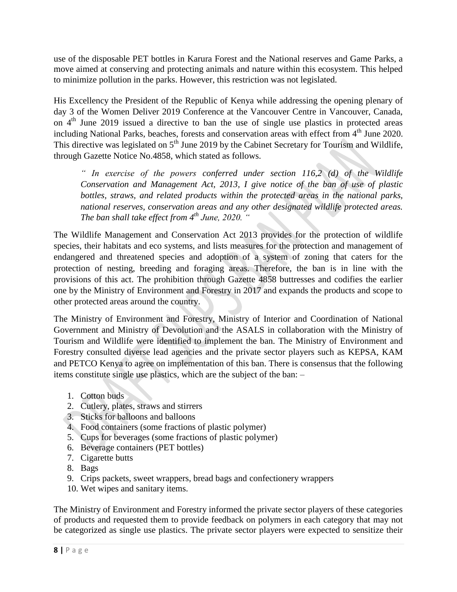use of the disposable PET bottles in Karura Forest and the National reserves and Game Parks, a move aimed at conserving and protecting animals and nature within this ecosystem. This helped to minimize pollution in the parks. However, this restriction was not legislated.

His Excellency the President of the Republic of Kenya while addressing the opening plenary of day 3 of the Women Deliver 2019 Conference at the Vancouver Centre in Vancouver, Canada, on  $4<sup>th</sup>$  June 2019 issued a directive to ban the use of single use plastics in protected areas including National Parks, beaches, forests and conservation areas with effect from  $4<sup>th</sup>$  June 2020. This directive was legislated on  $5<sup>th</sup>$  June 2019 by the Cabinet Secretary for Tourism and Wildlife, through Gazette Notice No.4858, which stated as follows.

*" In exercise of the powers conferred under section 116,2 (d) of the Wildlife Conservation and Management Act, 2013, I give notice of the ban of use of plastic bottles, straws, and related products within the protected areas in the national parks, national reserves, conservation areas and any other designated wildlife protected areas. The ban shall take effect from 4th June, 2020. "*

The Wildlife Management and Conservation Act 2013 provides for the protection of wildlife species, their habitats and eco systems, and lists measures for the protection and management of endangered and threatened species and adoption of a system of zoning that caters for the protection of nesting, breeding and foraging areas. Therefore, the ban is in line with the provisions of this act. The prohibition through Gazette 4858 buttresses and codifies the earlier one by the Ministry of Environment and Forestry in 2017 and expands the products and scope to other protected areas around the country.

The Ministry of Environment and Forestry, Ministry of Interior and Coordination of National Government and Ministry of Devolution and the ASALS in collaboration with the Ministry of Tourism and Wildlife were identified to implement the ban. The Ministry of Environment and Forestry consulted diverse lead agencies and the private sector players such as KEPSA, KAM and PETCO Kenya to agree on implementation of this ban. There is consensus that the following items constitute single use plastics, which are the subject of the ban: –

- 1. Cotton buds
- 2. Cutlery, plates, straws and stirrers
- 3. Sticks for balloons and balloons
- 4. Food containers (some fractions of plastic polymer)
- 5. Cups for beverages (some fractions of plastic polymer)
- 6. Beverage containers (PET bottles)
- 7. Cigarette butts
- 8. Bags
- 9. Crips packets, sweet wrappers, bread bags and confectionery wrappers
- 10. Wet wipes and sanitary items.

The Ministry of Environment and Forestry informed the private sector players of these categories of products and requested them to provide feedback on polymers in each category that may not be categorized as single use plastics. The private sector players were expected to sensitize their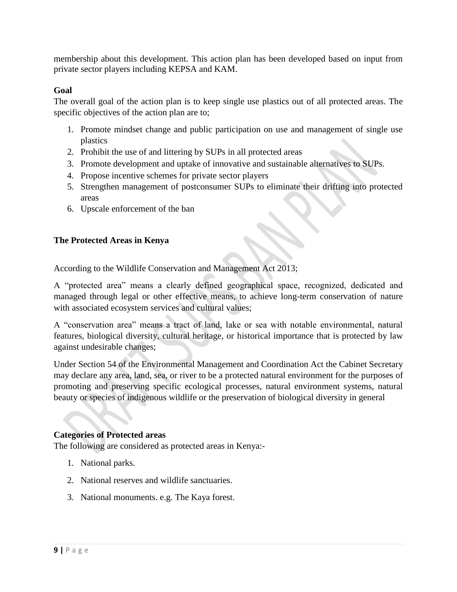membership about this development. This action plan has been developed based on input from private sector players including KEPSA and KAM.

## <span id="page-8-0"></span>**Goal**

The overall goal of the action plan is to keep single use plastics out of all protected areas. The specific objectives of the action plan are to;

- 1. Promote mindset change and public participation on use and management of single use plastics
- 2. Prohibit the use of and littering by SUPs in all protected areas
- 3. Promote development and uptake of innovative and sustainable alternatives to SUPs.
- 4. Propose incentive schemes for private sector players
- 5. Strengthen management of postconsumer SUPs to eliminate their drifting into protected areas
- 6. Upscale enforcement of the ban

## <span id="page-8-1"></span>**The Protected Areas in Kenya**

According to the Wildlife Conservation and Management Act 2013;

A "protected area" means a clearly defined geographical space, recognized, dedicated and managed through legal or other effective means, to achieve long-term conservation of nature with associated ecosystem services and cultural values;

A "conservation area" means a tract of land, lake or sea with notable environmental, natural features, biological diversity, cultural heritage, or historical importance that is protected by law against undesirable changes;

Under Section 54 of the Environmental Management and Coordination Act the Cabinet Secretary may declare any area, land, sea, or river to be a protected natural environment for the purposes of promoting and preserving specific ecological processes, natural environment systems, natural beauty or species of indigenous wildlife or the preservation of biological diversity in general

#### <span id="page-8-2"></span>**Categories of Protected areas**

The following are considered as protected areas in Kenya:-

- 1. National parks.
- 2. National reserves and wildlife sanctuaries.
- 3. National monuments. e.g. The Kaya forest.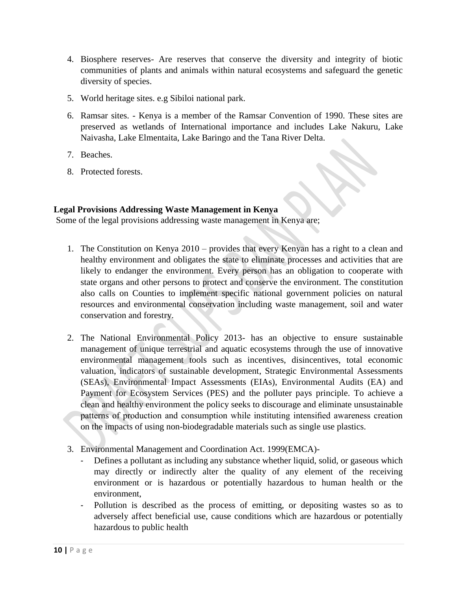- 4. Biosphere reserves- Are reserves that conserve the diversity and integrity of biotic communities of plants and animals within natural ecosystems and safeguard the genetic diversity of species.
- 5. World heritage sites. e.g Sibiloi national park.
- 6. Ramsar sites. Kenya is a member of the Ramsar Convention of 1990. These sites are preserved as wetlands of International importance and includes Lake Nakuru, Lake Naivasha, Lake Elmentaita, Lake Baringo and the Tana River Delta.
- 7. Beaches.
- 8. Protected forests.

#### <span id="page-9-0"></span>**Legal Provisions Addressing Waste Management in Kenya**

Some of the legal provisions addressing waste management in Kenya are;

- 1. The Constitution on Kenya 2010 provides that every Kenyan has a right to a clean and healthy environment and obligates the state to eliminate processes and activities that are likely to endanger the environment. Every person has an obligation to cooperate with state organs and other persons to protect and conserve the environment. The constitution also calls on Counties to implement specific national government policies on natural resources and environmental conservation including waste management, soil and water conservation and forestry.
- 2. The National Environmental Policy 2013- has an objective to ensure sustainable management of unique terrestrial and aquatic ecosystems through the use of innovative environmental management tools such as incentives, disincentives, total economic valuation, indicators of sustainable development, Strategic Environmental Assessments (SEAs), Environmental Impact Assessments (EIAs), Environmental Audits (EA) and Payment for Ecosystem Services (PES) and the polluter pays principle. To achieve a clean and healthy environment the policy seeks to discourage and eliminate unsustainable patterns of production and consumption while instituting intensified awareness creation on the impacts of using non-biodegradable materials such as single use plastics.
- 3. Environmental Management and Coordination Act. 1999(EMCA)-
	- Defines a pollutant as including any substance whether liquid, solid, or gaseous which may directly or indirectly alter the quality of any element of the receiving environment or is hazardous or potentially hazardous to human health or the environment,
	- Pollution is described as the process of emitting, or depositing wastes so as to adversely affect beneficial use, cause conditions which are hazardous or potentially hazardous to public health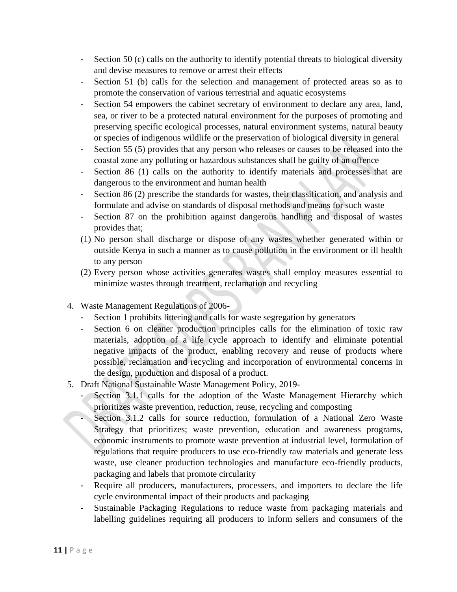- Section 50 (c) calls on the authority to identify potential threats to biological diversity and devise measures to remove or arrest their effects
- Section 51 (b) calls for the selection and management of protected areas so as to promote the conservation of various terrestrial and aquatic ecosystems
- Section 54 empowers the cabinet secretary of environment to declare any area, land, sea, or river to be a protected natural environment for the purposes of promoting and preserving specific ecological processes, natural environment systems, natural beauty or species of indigenous wildlife or the preservation of biological diversity in general
- Section 55 (5) provides that any person who releases or causes to be released into the coastal zone any polluting or hazardous substances shall be guilty of an offence
- Section 86 (1) calls on the authority to identify materials and processes that are dangerous to the environment and human health
- Section 86 (2) prescribe the standards for wastes, their classification, and analysis and formulate and advise on standards of disposal methods and means for such waste
- Section 87 on the prohibition against dangerous handling and disposal of wastes provides that;
- (1) No person shall discharge or dispose of any wastes whether generated within or outside Kenya in such a manner as to cause pollution in the environment or ill health to any person
- (2) Every person whose activities generates wastes shall employ measures essential to minimize wastes through treatment, reclamation and recycling
- 4. Waste Management Regulations of 2006-
	- Section 1 prohibits littering and calls for waste segregation by generators
	- Section 6 on cleaner production principles calls for the elimination of toxic raw materials, adoption of a life cycle approach to identify and eliminate potential negative impacts of the product, enabling recovery and reuse of products where possible, reclamation and recycling and incorporation of environmental concerns in the design, production and disposal of a product.
- 5. Draft National Sustainable Waste Management Policy, 2019-
	- Section 3.1.1 calls for the adoption of the Waste Management Hierarchy which prioritizes waste prevention, reduction, reuse, recycling and composting
	- Section 3.1.2 calls for source reduction, formulation of a National Zero Waste Strategy that prioritizes; waste prevention, education and awareness programs, economic instruments to promote waste prevention at industrial level, formulation of regulations that require producers to use eco-friendly raw materials and generate less waste, use cleaner production technologies and manufacture eco-friendly products, packaging and labels that promote circularity
	- Require all producers, manufacturers, processers, and importers to declare the life cycle environmental impact of their products and packaging
	- Sustainable Packaging Regulations to reduce waste from packaging materials and labelling guidelines requiring all producers to inform sellers and consumers of the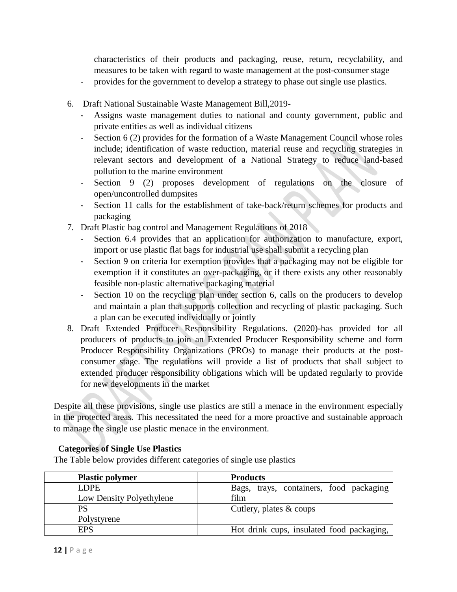characteristics of their products and packaging, reuse, return, recyclability, and measures to be taken with regard to waste management at the post-consumer stage

- provides for the government to develop a strategy to phase out single use plastics.
- 6. Draft National Sustainable Waste Management Bill,2019-
	- Assigns waste management duties to national and county government, public and private entities as well as individual citizens
	- Section 6 (2) provides for the formation of a Waste Management Council whose roles include; identification of waste reduction, material reuse and recycling strategies in relevant sectors and development of a National Strategy to reduce land-based pollution to the marine environment
	- Section 9 (2) proposes development of regulations on the closure of open/uncontrolled dumpsites
	- Section 11 calls for the establishment of take-back/return schemes for products and packaging
- 7. Draft Plastic bag control and Management Regulations of 2018
	- Section 6.4 provides that an application for authorization to manufacture, export, import or use plastic flat bags for industrial use shall submit a recycling plan
	- Section 9 on criteria for exemption provides that a packaging may not be eligible for exemption if it constitutes an over-packaging, or if there exists any other reasonably feasible non-plastic alternative packaging material
	- Section 10 on the recycling plan under section 6, calls on the producers to develop and maintain a plan that supports collection and recycling of plastic packaging. Such a plan can be executed individually or jointly
- 8. Draft Extended Producer Responsibility Regulations. (2020)-has provided for all producers of products to join an Extended Producer Responsibility scheme and form Producer Responsibility Organizations (PROs) to manage their products at the postconsumer stage. The regulations will provide a list of products that shall subject to extended producer responsibility obligations which will be updated regularly to provide for new developments in the market

Despite all these provisions, single use plastics are still a menace in the environment especially in the protected areas. This necessitated the need for a more proactive and sustainable approach to manage the single use plastic menace in the environment.

# <span id="page-11-0"></span>**Categories of Single Use Plastics**

The Table below provides different categories of single use plastics

| <b>Plastic polymer</b>   | <b>Products</b>                           |
|--------------------------|-------------------------------------------|
| <b>LDPE</b>              | Bags, trays, containers, food packaging   |
| Low Density Polyethylene | film                                      |
| PS                       | Cutlery, plates $& \text{coups}$          |
| Polystyrene              |                                           |
| EPS                      | Hot drink cups, insulated food packaging, |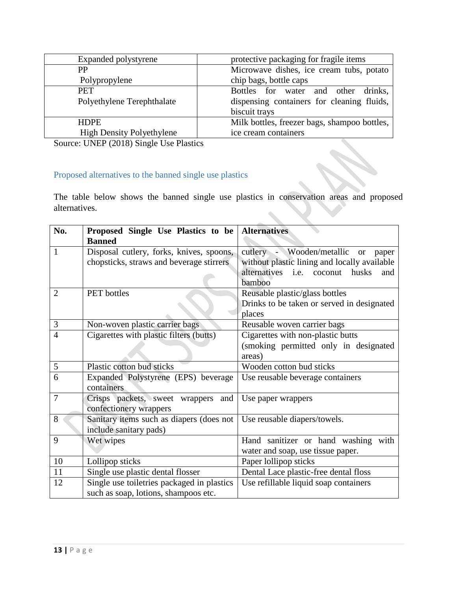| Expanded polystyrene             | protective packaging for fragile items       |  |  |  |  |  |  |
|----------------------------------|----------------------------------------------|--|--|--|--|--|--|
| РP                               | Microwave dishes, ice cream tubs, potato     |  |  |  |  |  |  |
| Polypropylene                    | chip bags, bottle caps                       |  |  |  |  |  |  |
| <b>PET</b>                       | drinks.<br>Bottles for water and other       |  |  |  |  |  |  |
| Polyethylene Terephthalate       | dispensing containers for cleaning fluids,   |  |  |  |  |  |  |
|                                  | biscuit trays                                |  |  |  |  |  |  |
| <b>HDPE</b>                      | Milk bottles, freezer bags, shampoo bottles, |  |  |  |  |  |  |
| <b>High Density Polyethylene</b> | ice cream containers                         |  |  |  |  |  |  |

Source: UNEP (2018) Single Use Plastics

# <span id="page-12-0"></span>Proposed alternatives to the banned single use plastics

The table below shows the banned single use plastics in conservation areas and proposed alternatives.

| No.            | Proposed Single Use Plastics to be         | <b>Alternatives</b>                          |
|----------------|--------------------------------------------|----------------------------------------------|
|                | <b>Banned</b>                              |                                              |
| 1              | Disposal cutlery, forks, knives, spoons,   | cutlery - Wooden/metallic or<br>paper        |
|                | chopsticks, straws and beverage stirrers   | without plastic lining and locally available |
|                |                                            | alternatives i.e. coconut husks<br>and       |
|                |                                            | bamboo                                       |
| $\overline{2}$ | <b>PET</b> bottles                         | Reusable plastic/glass bottles               |
|                |                                            | Drinks to be taken or served in designated   |
|                |                                            | places                                       |
| 3              | Non-woven plastic carrier bags             | Reusable woven carrier bags                  |
| $\overline{4}$ | Cigarettes with plastic filters (butts)    | Cigarettes with non-plastic butts            |
|                |                                            | (smoking permitted only in designated        |
|                |                                            | areas)                                       |
| 5              | Plastic cotton bud sticks                  | Wooden cotton bud sticks                     |
| 6              | Expanded Polystyrene (EPS) beverage        | Use reusable beverage containers             |
|                | containers                                 |                                              |
| 7              | Crisps packets, sweet wrappers and         | Use paper wrappers                           |
|                | confectionery wrappers                     |                                              |
| 8              | Sanitary items such as diapers (does not   | Use reusable diapers/towels.                 |
|                | include sanitary pads)                     |                                              |
| 9              | Wet wipes                                  | Hand sanitizer or hand washing with          |
|                |                                            | water and soap, use tissue paper.            |
| 10             | Lollipop sticks                            | Paper lollipop sticks                        |
| 11             | Single use plastic dental flosser          | Dental Lace plastic-free dental floss        |
| 12             | Single use toiletries packaged in plastics | Use refillable liquid soap containers        |
|                | such as soap, lotions, shampoos etc.       |                                              |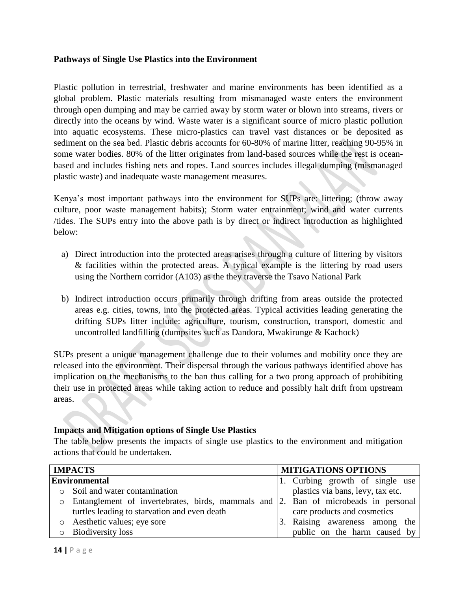#### <span id="page-13-0"></span>**Pathways of Single Use Plastics into the Environment**

Plastic pollution in terrestrial, freshwater and marine environments has been identified as a global problem. Plastic materials resulting from mismanaged waste enters the environment through open dumping and may be carried away by storm water or blown into streams, rivers or directly into the oceans by wind. Waste water is a significant source of micro plastic pollution into aquatic ecosystems. These micro-plastics can travel vast distances or be deposited as sediment on the sea bed. Plastic debris accounts for 60-80% of marine litter, reaching 90-95% in some water bodies. 80% of the litter originates from land-based sources while the rest is oceanbased and includes fishing nets and ropes. Land sources includes illegal dumping (mismanaged plastic waste) and inadequate waste management measures.

Kenya's most important pathways into the environment for SUPs are: littering; (throw away culture, poor waste management habits); Storm water entrainment; wind and water currents /tides. The SUPs entry into the above path is by direct or indirect introduction as highlighted below:

- a) Direct introduction into the protected areas arises through a culture of littering by visitors & facilities within the protected areas. A typical example is the littering by road users using the Northern corridor (A103) as the they traverse the Tsavo National Park
- b) Indirect introduction occurs primarily through drifting from areas outside the protected areas e.g. cities, towns, into the protected areas. Typical activities leading generating the drifting SUPs litter include: agriculture, tourism, construction, transport, domestic and uncontrolled landfilling (dumpsites such as Dandora, Mwakirunge & Kachock)

SUPs present a unique management challenge due to their volumes and mobility once they are released into the environment. Their dispersal through the various pathways identified above has implication on the mechanisms to the ban thus calling for a two prong approach of prohibiting their use in protected areas while taking action to reduce and possibly halt drift from upstream areas.

#### <span id="page-13-1"></span>**Impacts and Mitigation options of Single Use Plastics**

The table below presents the impacts of single use plastics to the environment and mitigation actions that could be undertaken.

|         | <b>IMPACTS</b>                                                                         | <b>MITIGATIONS OPTIONS</b> |                                   |  |  |  |  |
|---------|----------------------------------------------------------------------------------------|----------------------------|-----------------------------------|--|--|--|--|
|         | <b>Environmental</b>                                                                   |                            | 1. Curbing growth of single use   |  |  |  |  |
| $\cap$  | Soil and water contamination                                                           |                            | plastics via bans, levy, tax etc. |  |  |  |  |
| $\circ$ | Entanglement of invertebrates, birds, mammals and $ 2$ . Ban of microbeads in personal |                            |                                   |  |  |  |  |
|         | turtles leading to starvation and even death                                           |                            | care products and cosmetics       |  |  |  |  |
|         | Aesthetic values; eye sore                                                             |                            | 3. Raising awareness among the    |  |  |  |  |
|         | <b>Biodiversity loss</b>                                                               |                            | public on the harm caused by      |  |  |  |  |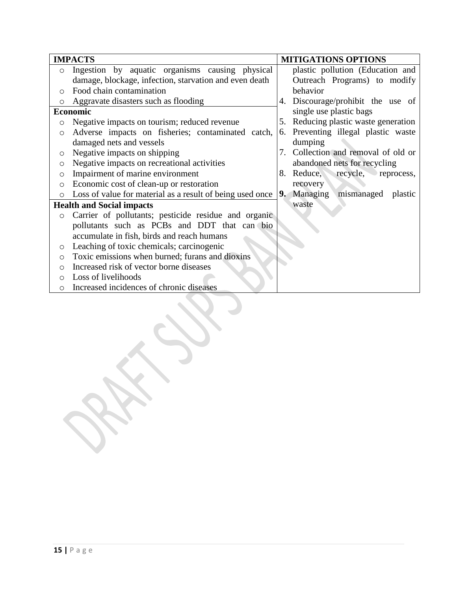|            | <b>IMPACTS</b>                                            |    | <b>MITIGATIONS OPTIONS</b>           |
|------------|-----------------------------------------------------------|----|--------------------------------------|
| $\circ$    | Ingestion by aquatic organisms causing physical           |    | plastic pollution (Education and     |
|            | damage, blockage, infection, starvation and even death    |    | Outreach Programs) to modify         |
| $\bigcirc$ | Food chain contamination                                  |    | behavior                             |
| $\circ$    | Aggravate disasters such as flooding                      | 4. | Discourage/prohibit the use of       |
|            | <b>Economic</b>                                           |    | single use plastic bags              |
| $\circ$    | Negative impacts on tourism; reduced revenue              |    | 5. Reducing plastic waste generation |
| $\circ$    | Adverse impacts on fisheries; contaminated catch,         |    | 6. Preventing illegal plastic waste  |
|            | damaged nets and vessels                                  |    | dumping                              |
| $\circ$    | Negative impacts on shipping                              | 7. | Collection and removal of old or     |
| $\circ$    | Negative impacts on recreational activities               |    | abandoned nets for recycling         |
| $\circ$    | Impairment of marine environment                          |    | recycle, reprocess,<br>8. Reduce,    |
| $\circ$    | Economic cost of clean-up or restoration                  |    | recovery                             |
| $\circ$    | Loss of value for material as a result of being used once | 9. | Managing mismanaged<br>plastic       |
|            | <b>Health and Social impacts</b>                          |    | waste                                |
| $\circ$    | Carrier of pollutants; pesticide residue and organic      |    |                                      |
|            | pollutants such as PCBs and DDT that can bio              |    |                                      |
|            | accumulate in fish, birds and reach humans                |    |                                      |
| $\circ$    | Leaching of toxic chemicals; carcinogenic                 |    |                                      |
| $\circ$    | Toxic emissions when burned; furans and dioxins           |    |                                      |
| Ο          | Increased risk of vector borne diseases                   |    |                                      |
| $\bigcirc$ | Loss of livelihoods                                       |    |                                      |
| ∩          | Increased incidences of chronic diseases                  |    |                                      |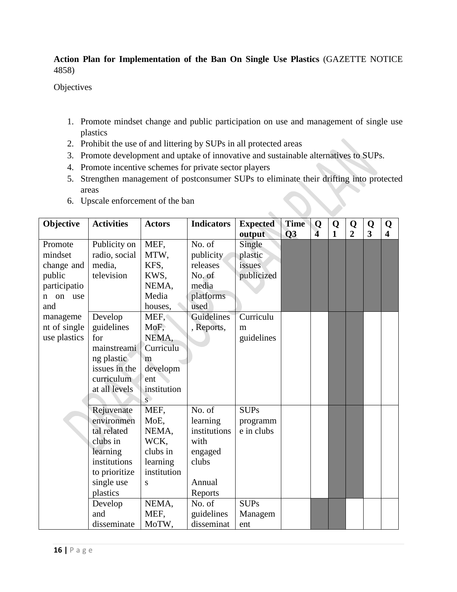<span id="page-15-0"></span>**Action Plan for Implementation of the Ban On Single Use Plastics** (GAZETTE NOTICE 4858)

#### **Objectives**

- 1. Promote mindset change and public participation on use and management of single use plastics
- 2. Prohibit the use of and littering by SUPs in all protected areas
- 3. Promote development and uptake of innovative and sustainable alternatives to SUPs.
- 4. Promote incentive schemes for private sector players
- 5. Strengthen management of postconsumer SUPs to eliminate their drifting into protected areas

|  |  | 6. Upscale enforcement of the ban |  |
|--|--|-----------------------------------|--|
|--|--|-----------------------------------|--|

| Objective      | <b>Activities</b> | <b>Actors</b> | <b>Indicators</b> | <b>Expected</b> | <b>Time</b>    | Q                       | Q            | Q              | Q                       | Q                       |
|----------------|-------------------|---------------|-------------------|-----------------|----------------|-------------------------|--------------|----------------|-------------------------|-------------------------|
|                |                   |               |                   | output          | Q <sub>3</sub> | $\overline{\mathbf{4}}$ | $\mathbf{1}$ | $\overline{2}$ | $\overline{\mathbf{3}}$ | $\overline{\mathbf{4}}$ |
| Promote        | Publicity on      | MEF,          | No. of            | Single          |                |                         |              |                |                         |                         |
| mindset        | radio, social     | MTW,          | publicity         | plastic         |                |                         |              |                |                         |                         |
| change and     | media,            | KFS,          | releases          | issues          |                |                         |              |                |                         |                         |
| public         | television        | KWS,          | No. of            | publicized      |                |                         |              |                |                         |                         |
| participatio   |                   | NEMA,         | media             |                 |                |                         |              |                |                         |                         |
| on<br>use<br>n |                   | Media         | platforms         |                 |                |                         |              |                |                         |                         |
| and            |                   | houses,       | used              |                 |                |                         |              |                |                         |                         |
| manageme       | Develop           | MEF,          | Guidelines        | Curriculu       |                |                         |              |                |                         |                         |
| nt of single   | guidelines        | MoF,          | , Reports,        | m               |                |                         |              |                |                         |                         |
| use plastics   | for               | NEMA,         |                   | guidelines      |                |                         |              |                |                         |                         |
|                | mainstreami       | Curriculu     |                   |                 |                |                         |              |                |                         |                         |
|                | ng plastic        | m             |                   |                 |                |                         |              |                |                         |                         |
|                | issues in the     | developm      |                   |                 |                |                         |              |                |                         |                         |
|                | curriculum        | ent           |                   |                 |                |                         |              |                |                         |                         |
|                | at all levels     | institution   |                   |                 |                |                         |              |                |                         |                         |
|                |                   | $\mathbf{s}$  |                   |                 |                |                         |              |                |                         |                         |
|                | Rejuvenate        | MEF,          | No. of            | <b>SUPs</b>     |                |                         |              |                |                         |                         |
|                | environmen        | MoE,          | learning          | programm        |                |                         |              |                |                         |                         |
|                | tal related       | NEMA,         | institutions      | e in clubs      |                |                         |              |                |                         |                         |
|                | clubs in          | WCK,          | with              |                 |                |                         |              |                |                         |                         |
|                | learning          | clubs in      | engaged           |                 |                |                         |              |                |                         |                         |
|                | institutions      | learning      | clubs             |                 |                |                         |              |                |                         |                         |
|                | to prioritize     | institution   |                   |                 |                |                         |              |                |                         |                         |
|                | single use        | S             | Annual            |                 |                |                         |              |                |                         |                         |
|                | plastics          |               | Reports           |                 |                |                         |              |                |                         |                         |
|                | Develop           | NEMA,         | No. of            | <b>SUPs</b>     |                |                         |              |                |                         |                         |
|                | and               | MEF,          | guidelines        | Managem         |                |                         |              |                |                         |                         |
|                | disseminate       | MoTW,         | disseminat        | ent             |                |                         |              |                |                         |                         |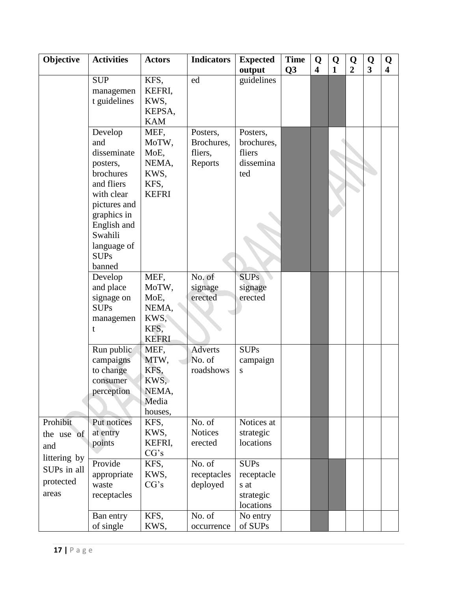| Objective                                         | <b>Activities</b>                                                                                                                                                                   | <b>Actors</b>                                                  | <b>Indicators</b>                            | <b>Expected</b><br>output                                   | <b>Time</b><br>Q <sub>3</sub> | Q<br>$\overline{\mathbf{4}}$ | Q<br>$\mathbf{1}$ | Q<br>$\overline{2}$ | Q<br>$\overline{\mathbf{3}}$ | Q<br>$\overline{\mathbf{4}}$ |
|---------------------------------------------------|-------------------------------------------------------------------------------------------------------------------------------------------------------------------------------------|----------------------------------------------------------------|----------------------------------------------|-------------------------------------------------------------|-------------------------------|------------------------------|-------------------|---------------------|------------------------------|------------------------------|
|                                                   | <b>SUP</b><br>managemen<br>t guidelines                                                                                                                                             | KFS,<br>KEFRI,<br>KWS,<br>KEPSA,<br><b>KAM</b>                 | ed                                           | guidelines                                                  |                               |                              |                   |                     |                              |                              |
|                                                   | Develop<br>and<br>disseminate<br>posters,<br>brochures<br>and fliers<br>with clear<br>pictures and<br>graphics in<br>English and<br>Swahili<br>language of<br><b>SUPs</b><br>banned | MEF,<br>MoTW,<br>MoE,<br>NEMA,<br>KWS,<br>KFS,<br><b>KEFRI</b> | Posters,<br>Brochures,<br>fliers,<br>Reports | Posters,<br>brochures,<br>fliers<br>dissemina<br>ted        |                               |                              |                   |                     |                              |                              |
|                                                   | Develop<br>and place<br>signage on<br><b>SUPs</b><br>managemen<br>t                                                                                                                 | MEF,<br>MoTW,<br>MoE,<br>NEMA,<br>KWS,<br>KFS,<br><b>KEFRI</b> | No. of<br>signage<br>erected                 | <b>SUPs</b><br>signage<br>erected                           |                               |                              |                   |                     |                              |                              |
|                                                   | Run public<br>campaigns<br>to change<br>consumer<br>perception                                                                                                                      | MEF,<br>MTW,<br>KFS,<br>KWS,<br>NEMA,<br>Media<br>houses,      | <b>Adverts</b><br>No. of<br>roadshows        | <b>SUPs</b><br>campaign<br>S                                |                               |                              |                   |                     |                              |                              |
| Prohibit<br>the use of<br>and                     | Put notices<br>at entry<br>points                                                                                                                                                   | KFS,<br>KWS,<br>KEFRI,<br>CG's                                 | No. of<br><b>Notices</b><br>erected          | Notices at<br>strategic<br>locations                        |                               |                              |                   |                     |                              |                              |
| littering by<br>SUPs in all<br>protected<br>areas | Provide<br>appropriate<br>waste<br>receptacles                                                                                                                                      | KFS,<br>KWS,<br>CG's                                           | No. of<br>receptacles<br>deployed            | <b>SUPs</b><br>receptacle<br>s at<br>strategic<br>locations |                               |                              |                   |                     |                              |                              |
|                                                   | Ban entry<br>of single                                                                                                                                                              | KFS,<br>KWS,                                                   | No. of<br>occurrence                         | No entry<br>of SUPs                                         |                               |                              |                   |                     |                              |                              |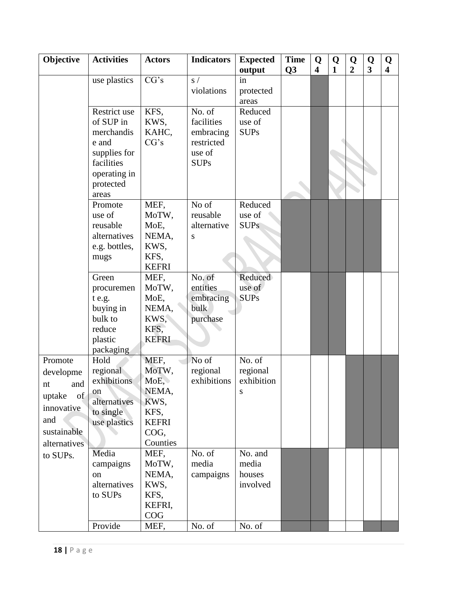| Objective    | <b>Activities</b>          | <b>Actors</b> | <b>Indicators</b>    | <b>Expected</b> | <b>Time</b>    | Q                       | Q            | Q              | Q                       | Q                       |
|--------------|----------------------------|---------------|----------------------|-----------------|----------------|-------------------------|--------------|----------------|-------------------------|-------------------------|
|              |                            |               |                      | output          | Q <sub>3</sub> | $\overline{\mathbf{4}}$ | $\mathbf{1}$ | $\overline{2}$ | $\overline{\mathbf{3}}$ | $\overline{\mathbf{4}}$ |
|              | use plastics               | CG's          | s/                   | in              |                |                         |              |                |                         |                         |
|              |                            |               | violations           | protected       |                |                         |              |                |                         |                         |
|              |                            |               |                      | areas           |                |                         |              |                |                         |                         |
|              | Restrict use               | KFS,          | No. of               | Reduced         |                |                         |              |                |                         |                         |
|              | of SUP in                  | KWS,          | facilities           | use of          |                |                         |              |                |                         |                         |
|              | merchandis                 | KAHC,         | embracing            | <b>SUPs</b>     |                |                         |              |                |                         |                         |
|              | e and                      | CG's          | restricted<br>use of |                 |                |                         |              |                |                         |                         |
|              | supplies for<br>facilities |               | <b>SUPs</b>          |                 |                |                         |              |                |                         |                         |
|              | operating in               |               |                      |                 |                |                         |              |                |                         |                         |
|              | protected                  |               |                      |                 |                |                         |              |                |                         |                         |
|              | areas                      |               |                      |                 |                |                         |              |                |                         |                         |
|              | Promote                    | MEF,          | No of                | Reduced         |                |                         |              |                |                         |                         |
|              | use of                     | MoTW,         | reusable             | use of          |                |                         |              |                |                         |                         |
|              | reusable                   | MoE,          | alternative          | <b>SUPs</b>     |                |                         |              |                |                         |                         |
|              | alternatives               | NEMA,         | S                    |                 |                |                         |              |                |                         |                         |
|              | e.g. bottles,              | KWS,          |                      |                 |                |                         |              |                |                         |                         |
|              | mugs                       | KFS,          |                      |                 |                |                         |              |                |                         |                         |
|              |                            | <b>KEFRI</b>  |                      |                 |                |                         |              |                |                         |                         |
|              | Green                      | MEF,          | No. of               | Reduced         |                |                         |              |                |                         |                         |
|              | procuremen                 | MoTW,         | entities             | use of          |                |                         |              |                |                         |                         |
|              | t e.g.                     | MoE,          | embracing            | <b>SUPs</b>     |                |                         |              |                |                         |                         |
|              | buying in                  | NEMA,         | bulk                 |                 |                |                         |              |                |                         |                         |
|              | bulk to                    | KWS,          | purchase             |                 |                |                         |              |                |                         |                         |
|              | reduce                     | KFS,          |                      |                 |                |                         |              |                |                         |                         |
|              | plastic                    | <b>KEFRI</b>  |                      |                 |                |                         |              |                |                         |                         |
|              | packaging                  |               |                      |                 |                |                         |              |                |                         |                         |
| Promote      | Hold                       | MEF,          | No of                | No. of          |                |                         |              |                |                         |                         |
| developme    | regional                   | MoTW,         | regional             | regional        |                |                         |              |                |                         |                         |
| and<br>nt    | exhibitions                | MoE,          | exhibitions          | exhibition      |                |                         |              |                |                         |                         |
| of<br>uptake | on                         | NEMA,         |                      | S               |                |                         |              |                |                         |                         |
| innovative   | alternatives               | KWS,          |                      |                 |                |                         |              |                |                         |                         |
|              | to single                  | KFS,          |                      |                 |                |                         |              |                |                         |                         |
| and          | use plastics               | <b>KEFRI</b>  |                      |                 |                |                         |              |                |                         |                         |
| sustainable  |                            | COG,          |                      |                 |                |                         |              |                |                         |                         |
| alternatives |                            | Counties      |                      |                 |                |                         |              |                |                         |                         |
| to SUPs.     | Media                      | MEF,          | No. of               | No. and         |                |                         |              |                |                         |                         |
|              | campaigns                  | MoTW,         | media                | media           |                |                         |              |                |                         |                         |
|              | on                         | NEMA,         | campaigns            | houses          |                |                         |              |                |                         |                         |
|              | alternatives               | KWS,          |                      | involved        |                |                         |              |                |                         |                         |
|              | to SUPs                    | KFS,          |                      |                 |                |                         |              |                |                         |                         |
|              |                            | KEFRI,        |                      |                 |                |                         |              |                |                         |                         |
|              |                            | COG           |                      |                 |                |                         |              |                |                         |                         |
|              | Provide                    | MEF,          | No. of               | No. of          |                |                         |              |                |                         |                         |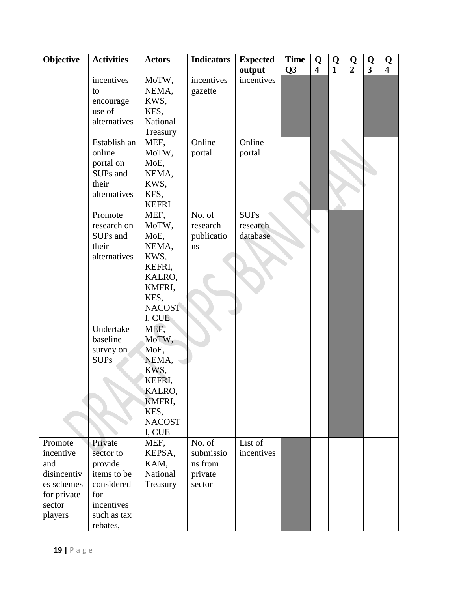| Objective   | <b>Activities</b> | <b>Actors</b> | <b>Indicators</b> | <b>Expected</b> | <b>Time</b> | Q                       | Q            | Q              | Q                       | Q                       |
|-------------|-------------------|---------------|-------------------|-----------------|-------------|-------------------------|--------------|----------------|-------------------------|-------------------------|
|             |                   |               |                   | output          | Q3          | $\overline{\mathbf{4}}$ | $\mathbf{1}$ | $\overline{2}$ | $\overline{\mathbf{3}}$ | $\overline{\mathbf{4}}$ |
|             | incentives        | MoTW,         | incentives        | incentives      |             |                         |              |                |                         |                         |
|             | to                | NEMA,         | gazette           |                 |             |                         |              |                |                         |                         |
|             | encourage         | KWS,          |                   |                 |             |                         |              |                |                         |                         |
|             | use of            | KFS,          |                   |                 |             |                         |              |                |                         |                         |
|             | alternatives      | National      |                   |                 |             |                         |              |                |                         |                         |
|             |                   | Treasury      |                   |                 |             |                         |              |                |                         |                         |
|             | Establish an      | MEF,          | Online            | Online          |             |                         |              |                |                         |                         |
|             | online            | MoTW,         | portal            | portal          |             |                         |              |                |                         |                         |
|             | portal on         | MoE,          |                   |                 |             |                         |              |                |                         |                         |
|             | SUPs and          | NEMA,         |                   |                 |             |                         |              |                |                         |                         |
|             | their             | KWS,          |                   |                 |             |                         |              |                |                         |                         |
|             | alternatives      | KFS,          |                   |                 |             |                         |              |                |                         |                         |
|             |                   | <b>KEFRI</b>  |                   |                 |             |                         |              |                |                         |                         |
|             | Promote           | MEF,          | No. of            | <b>SUPs</b>     |             |                         |              |                |                         |                         |
|             | research on       | MoTW,         | research          | research        |             |                         |              |                |                         |                         |
|             | SUPs and          | MoE,          | publicatio        | database        |             |                         |              |                |                         |                         |
|             | their             | NEMA,         | ns                |                 |             |                         |              |                |                         |                         |
|             | alternatives      | KWS,          |                   |                 |             |                         |              |                |                         |                         |
|             |                   | KEFRI,        |                   |                 |             |                         |              |                |                         |                         |
|             |                   | KALRO,        |                   |                 |             |                         |              |                |                         |                         |
|             |                   | KMFRI,        |                   |                 |             |                         |              |                |                         |                         |
|             |                   | KFS,          |                   |                 |             |                         |              |                |                         |                         |
|             |                   | <b>NACOST</b> |                   |                 |             |                         |              |                |                         |                         |
|             |                   | I, CUE        |                   |                 |             |                         |              |                |                         |                         |
|             | Undertake         | MEF,          |                   |                 |             |                         |              |                |                         |                         |
|             | baseline          | MoTW,         |                   |                 |             |                         |              |                |                         |                         |
|             | survey on         | MoE,          |                   |                 |             |                         |              |                |                         |                         |
|             | <b>SUPs</b>       | NEMA,         |                   |                 |             |                         |              |                |                         |                         |
|             |                   | KWS,          |                   |                 |             |                         |              |                |                         |                         |
|             |                   | KEFRI,        |                   |                 |             |                         |              |                |                         |                         |
|             |                   | KALRO,        |                   |                 |             |                         |              |                |                         |                         |
|             |                   | KMFRI,        |                   |                 |             |                         |              |                |                         |                         |
|             |                   | KFS,          |                   |                 |             |                         |              |                |                         |                         |
|             |                   | <b>NACOST</b> |                   |                 |             |                         |              |                |                         |                         |
|             |                   | I, CUE        |                   |                 |             |                         |              |                |                         |                         |
| Promote     | Private           | MEF,          | No. of            | List of         |             |                         |              |                |                         |                         |
| incentive   | sector to         | KEPSA,        | submissio         | incentives      |             |                         |              |                |                         |                         |
| and         | provide           | KAM,          | ns from           |                 |             |                         |              |                |                         |                         |
| disincentiv | items to be       | National      | private           |                 |             |                         |              |                |                         |                         |
| es schemes  | considered        | Treasury      | sector            |                 |             |                         |              |                |                         |                         |
| for private | for               |               |                   |                 |             |                         |              |                |                         |                         |
| sector      | incentives        |               |                   |                 |             |                         |              |                |                         |                         |
| players     | such as tax       |               |                   |                 |             |                         |              |                |                         |                         |
|             |                   |               |                   |                 |             |                         |              |                |                         |                         |
|             | rebates,          |               |                   |                 |             |                         |              |                |                         |                         |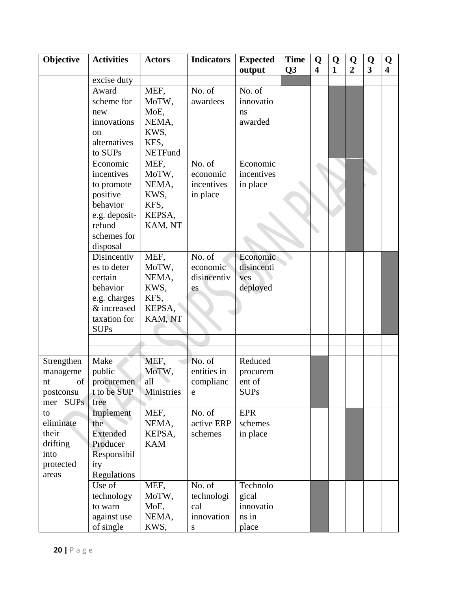| Objective          | <b>Activities</b> | <b>Actors</b> | <b>Indicators</b> | <b>Expected</b> | <b>Time</b>    | Q<br>$\overline{\mathbf{4}}$ | Q<br>$\mathbf{1}$ | Q<br>$\overline{2}$ | Q<br>$\overline{\mathbf{3}}$ | Q<br>$\overline{\mathbf{4}}$ |
|--------------------|-------------------|---------------|-------------------|-----------------|----------------|------------------------------|-------------------|---------------------|------------------------------|------------------------------|
|                    | excise duty       |               |                   | output          | Q <sub>3</sub> |                              |                   |                     |                              |                              |
|                    | Award             | MEF,          | No. of            | No. of          |                |                              |                   |                     |                              |                              |
|                    | scheme for        | MoTW,         | awardees          | innovatio       |                |                              |                   |                     |                              |                              |
|                    | new               | MoE,          |                   | ns              |                |                              |                   |                     |                              |                              |
|                    | innovations       | NEMA,         |                   | awarded         |                |                              |                   |                     |                              |                              |
|                    | <sub>on</sub>     | KWS,          |                   |                 |                |                              |                   |                     |                              |                              |
|                    | alternatives      | KFS,          |                   |                 |                |                              |                   |                     |                              |                              |
|                    | to SUPs           | NETFund       |                   |                 |                |                              |                   |                     |                              |                              |
|                    | Economic          | MEF,          | No. of            | Economic        |                |                              |                   |                     |                              |                              |
|                    | incentives        | MoTW,         | economic          | incentives      |                |                              |                   |                     |                              |                              |
|                    | to promote        | NEMA,         | incentives        | in place        |                |                              |                   |                     |                              |                              |
|                    | positive          | KWS,          | in place          |                 |                |                              |                   |                     |                              |                              |
|                    | behavior          | KFS,          |                   |                 |                |                              |                   |                     |                              |                              |
|                    | e.g. deposit-     | KEPSA,        |                   |                 |                |                              |                   |                     |                              |                              |
|                    | refund            | KAM, NT       |                   |                 |                |                              |                   |                     |                              |                              |
|                    | schemes for       |               |                   |                 |                |                              |                   |                     |                              |                              |
|                    | disposal          |               |                   |                 |                |                              |                   |                     |                              |                              |
|                    | Disincentiv       | MEF,          | No. of            | Economic        |                |                              |                   |                     |                              |                              |
|                    | es to deter       | MoTW,         | economic          | disincenti      |                |                              |                   |                     |                              |                              |
|                    | certain           | NEMA,         | disincentiv       | ves             |                |                              |                   |                     |                              |                              |
|                    | behavior          | KWS,          | es                | deployed        |                |                              |                   |                     |                              |                              |
|                    | e.g. charges      | KFS,          |                   |                 |                |                              |                   |                     |                              |                              |
|                    | & increased       | KEPSA,        |                   |                 |                |                              |                   |                     |                              |                              |
|                    | taxation for      | KAM, NT       |                   |                 |                |                              |                   |                     |                              |                              |
|                    | <b>SUPs</b>       |               |                   |                 |                |                              |                   |                     |                              |                              |
|                    |                   |               |                   |                 |                |                              |                   |                     |                              |                              |
|                    |                   |               |                   |                 |                |                              |                   |                     |                              |                              |
| Strengthen         | Make              | MEF,          | No. of            | Reduced         |                |                              |                   |                     |                              |                              |
| manageme           | public            | MoTW,         | entities in       | procurem        |                |                              |                   |                     |                              |                              |
| of<br>nt           | procuremen        | all           | complianc         | ent of          |                |                              |                   |                     |                              |                              |
| postconsu          | t to be SUP       | Ministries    | e                 | <b>SUPs</b>     |                |                              |                   |                     |                              |                              |
| <b>SUPs</b><br>mer | free              |               |                   |                 |                |                              |                   |                     |                              |                              |
| to                 | Implement         | MEF,          | No. of            | EPR             |                |                              |                   |                     |                              |                              |
| eliminate          | the               | NEMA,         | active ERP        | schemes         |                |                              |                   |                     |                              |                              |
| their              | Extended          | KEPSA,        | schemes           | in place        |                |                              |                   |                     |                              |                              |
| drifting           | Producer          | <b>KAM</b>    |                   |                 |                |                              |                   |                     |                              |                              |
| into               | Responsibil       |               |                   |                 |                |                              |                   |                     |                              |                              |
| protected          | ity               |               |                   |                 |                |                              |                   |                     |                              |                              |
| areas              | Regulations       |               |                   |                 |                |                              |                   |                     |                              |                              |
|                    | Use of            | MEF,          | No. of            | Technolo        |                |                              |                   |                     |                              |                              |
|                    | technology        | MoTW,         | technologi        | gical           |                |                              |                   |                     |                              |                              |
|                    | to warn           | MoE,          | cal<br>innovation | innovatio       |                |                              |                   |                     |                              |                              |
|                    | against use       | NEMA,         |                   | ns in           |                |                              |                   |                     |                              |                              |
|                    | of single         | KWS,          | S                 | place           |                |                              |                   |                     |                              |                              |